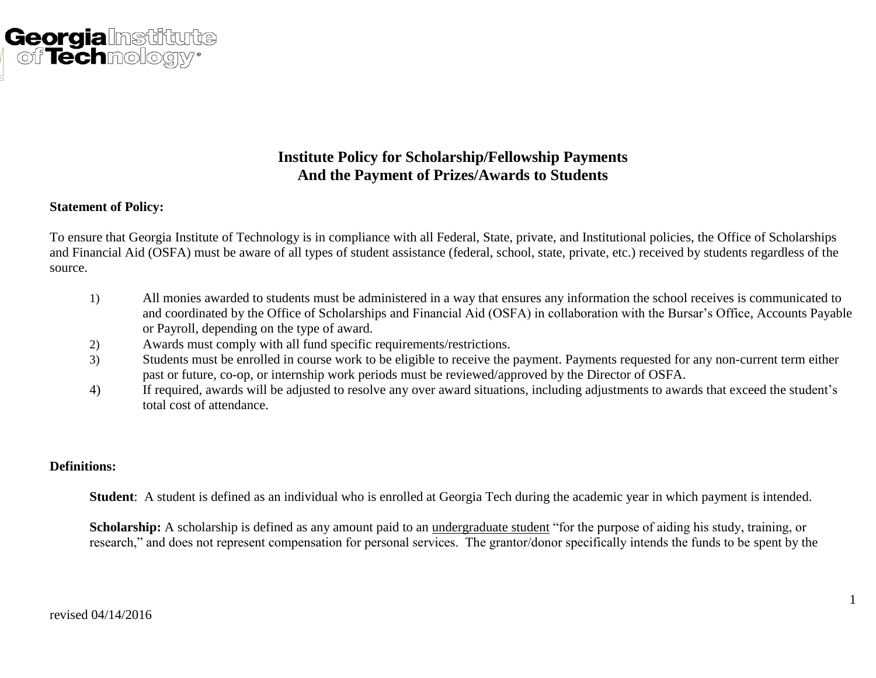

## **Institute Policy for Scholarship/Fellowship Payments And the Payment of Prizes/Awards to Students**

#### **Statement of Policy:**

To ensure that Georgia Institute of Technology is in compliance with all Federal, State, private, and Institutional policies, the Office of Scholarships and Financial Aid (OSFA) must be aware of all types of student assistance (federal, school, state, private, etc.) received by students regardless of the source.

- 1) All monies awarded to students must be administered in a way that ensures any information the school receives is communicated to and coordinated by the Office of Scholarships and Financial Aid (OSFA) in collaboration with the Bursar's Office, Accounts Payable or Payroll, depending on the type of award.
- 2) Awards must comply with all fund specific requirements/restrictions.
- 3) Students must be enrolled in course work to be eligible to receive the payment. Payments requested for any non-current term either past or future, co-op, or internship work periods must be reviewed/approved by the Director of OSFA.
- 4) If required, awards will be adjusted to resolve any over award situations, including adjustments to awards that exceed the student's total cost of attendance.

### **Definitions:**

**Student**: A student is defined as an individual who is enrolled at Georgia Tech during the academic year in which payment is intended.

**Scholarship:** A scholarship is defined as any amount paid to an undergraduate student "for the purpose of aiding his study, training, or research," and does not represent compensation for personal services. The grantor/donor specifically intends the funds to be spent by the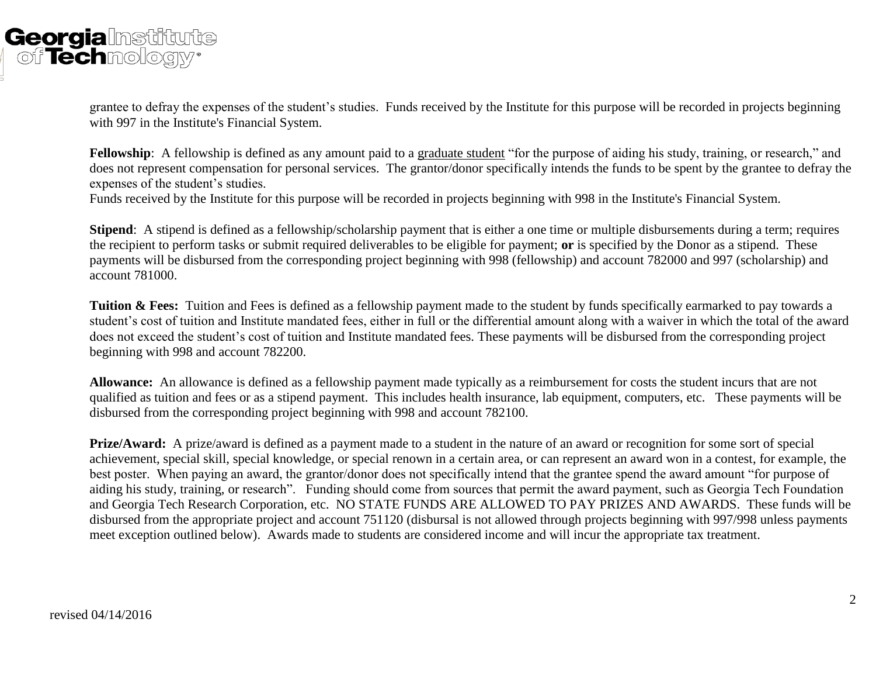# **Georgia**lnstif of Technology®

grantee to defray the expenses of the student's studies. Funds received by the Institute for this purpose will be recorded in projects beginning with 997 in the Institute's Financial System.

**Fellowship**: A fellowship is defined as any amount paid to a graduate student "for the purpose of aiding his study, training, or research," and does not represent compensation for personal services. The grantor/donor specifically intends the funds to be spent by the grantee to defray the expenses of the student's studies.

Funds received by the Institute for this purpose will be recorded in projects beginning with 998 in the Institute's Financial System.

**Stipend**: A stipend is defined as a fellowship/scholarship payment that is either a one time or multiple disbursements during a term; requires the recipient to perform tasks or submit required deliverables to be eligible for payment; **or** is specified by the Donor as a stipend. These payments will be disbursed from the corresponding project beginning with 998 (fellowship) and account 782000 and 997 (scholarship) and account 781000.

**Tuition & Fees:** Tuition and Fees is defined as a fellowship payment made to the student by funds specifically earmarked to pay towards a student's cost of tuition and Institute mandated fees, either in full or the differential amount along with a waiver in which the total of the award does not exceed the student's cost of tuition and Institute mandated fees. These payments will be disbursed from the corresponding project beginning with 998 and account 782200.

**Allowance:** An allowance is defined as a fellowship payment made typically as a reimbursement for costs the student incurs that are not qualified as tuition and fees or as a stipend payment. This includes health insurance, lab equipment, computers, etc. These payments will be disbursed from the corresponding project beginning with 998 and account 782100.

**Prize/Award:** A prize/award is defined as a payment made to a student in the nature of an award or recognition for some sort of special achievement, special skill, special knowledge, or special renown in a certain area, or can represent an award won in a contest, for example, the best poster. When paying an award, the grantor/donor does not specifically intend that the grantee spend the award amount "for purpose of aiding his study, training, or research". Funding should come from sources that permit the award payment, such as Georgia Tech Foundation and Georgia Tech Research Corporation, etc. NO STATE FUNDS ARE ALLOWED TO PAY PRIZES AND AWARDS. These funds will be disbursed from the appropriate project and account 751120 (disbursal is not allowed through projects beginning with 997/998 unless payments meet exception outlined below). Awards made to students are considered income and will incur the appropriate tax treatment.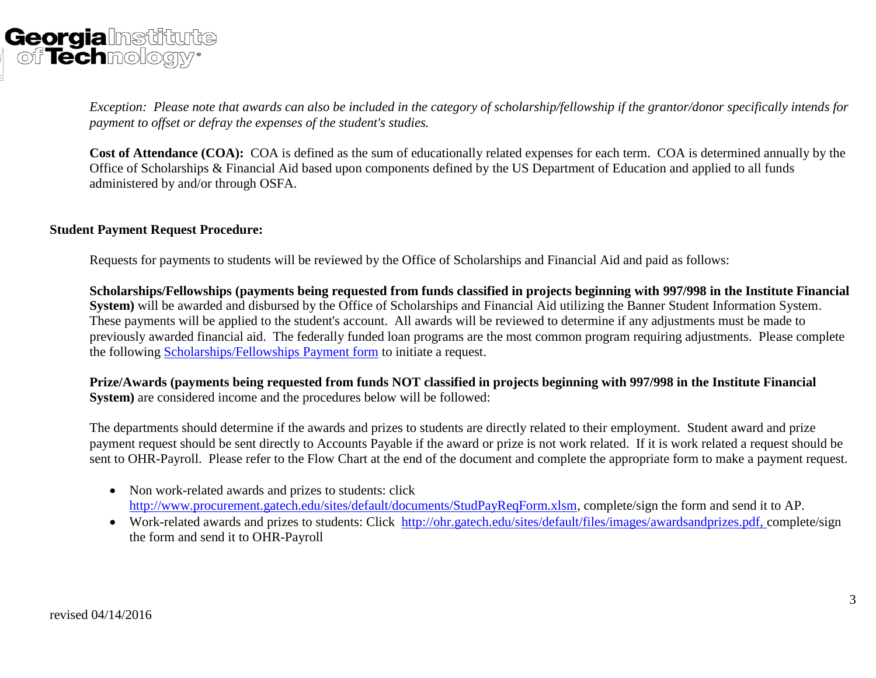

*Exception: Please note that awards can also be included in the category of scholarship/fellowship if the grantor/donor specifically intends for payment to offset or defray the expenses of the student's studies.* 

**Cost of Attendance (COA):** COA is defined as the sum of educationally related expenses for each term. COA is determined annually by the Office of Scholarships & Financial Aid based upon components defined by the US Department of Education and applied to all funds administered by and/or through OSFA.

#### **Student Payment Request Procedure:**

Requests for payments to students will be reviewed by the Office of Scholarships and Financial Aid and paid as follows:

**Scholarships/Fellowships (payments being requested from funds classified in projects beginning with 997/998 in the Institute Financial System)** will be awarded and disbursed by the Office of Scholarships and Financial Aid utilizing the Banner Student Information System. These payments will be applied to the student's account. All awards will be reviewed to determine if any adjustments must be made to previously awarded financial aid. The federally funded loan programs are the most common program requiring adjustments. Please complete the following [Scholarships/Fellowships Payment form](http://www.bursar.gatech.edu/Excel/Fellowship-Scholarship_Payments.xls) to initiate a request.

**Prize/Awards (payments being requested from funds NOT classified in projects beginning with 997/998 in the Institute Financial System)** are considered income and the procedures below will be followed:

The departments should determine if the awards and prizes to students are directly related to their employment. Student award and prize payment request should be sent directly to Accounts Payable if the award or prize is not work related. If it is work related a request should be sent to OHR-Payroll. Please refer to the Flow Chart at the end of the document and complete the appropriate form to make a payment request.

- Non work-related awards and prizes to students: click [http://www.procurement.gatech.edu/sites/default/documents/StudPayReqForm.xlsm,](http://www.procurement.gatech.edu/sites/default/documents/StudPayReqForm.xlsm) complete/sign the form and send it to AP.
- Work-related awards and prizes to students: Click [http://ohr.gatech.edu/sites/default/files/images/awardsandprizes.pdf, complete/](http://ohr.gatech.edu/sites/default/files/images/awardsandprizes.pdf,%20complete)sign the form and send it to OHR-Payroll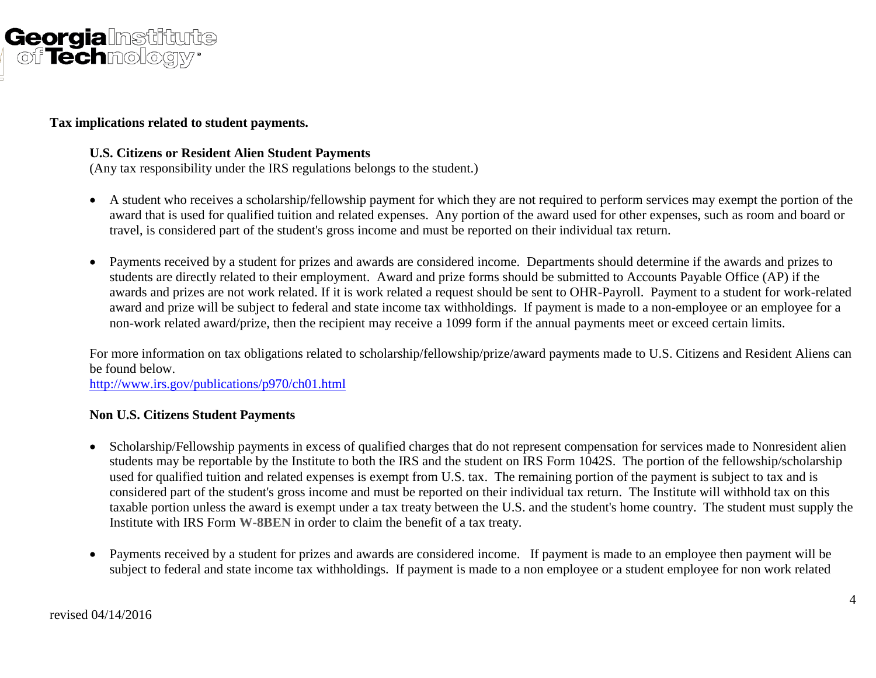

### **Tax implications related to student payments.**

#### **U.S. Citizens or Resident Alien Student Payments**

(Any tax responsibility under the IRS regulations belongs to the student.)

- A student who receives a scholarship/fellowship payment for which they are not required to perform services may exempt the portion of the award that is used for qualified tuition and related expenses. Any portion of the award used for other expenses, such as room and board or travel, is considered part of the student's gross income and must be reported on their individual tax return.
- Payments received by a student for prizes and awards are considered income. Departments should determine if the awards and prizes to students are directly related to their employment. Award and prize forms should be submitted to Accounts Payable Office (AP) if the awards and prizes are not work related. If it is work related a request should be sent to OHR-Payroll. Payment to a student for work-related award and prize will be subject to federal and state income tax withholdings. If payment is made to a non-employee or an employee for a non-work related award/prize, then the recipient may receive a 1099 form if the annual payments meet or exceed certain limits.

For more information on tax obligations related to scholarship/fellowship/prize/award payments made to U.S. Citizens and Resident Aliens can be found below.

<http://www.irs.gov/publications/p970/ch01.html>

#### **Non U.S. Citizens Student Payments**

- Scholarship/Fellowship payments in excess of qualified charges that do not represent compensation for services made to Nonresident alien students may be reportable by the Institute to both the IRS and the student on IRS Form 1042S. The portion of the fellowship/scholarship used for qualified tuition and related expenses is exempt from U.S. tax. The remaining portion of the payment is subject to tax and is considered part of the student's gross income and must be reported on their individual tax return. The Institute will withhold tax on this taxable portion unless the award is exempt under a tax treaty between the U.S. and the student's home country. The student must supply the Institute with IRS Form **W-8BEN** in order to claim the benefit of a tax treaty.
- Payments received by a student for prizes and awards are considered income. If payment is made to an employee then payment will be subject to federal and state income tax withholdings. If payment is made to a non employee or a student employee for non work related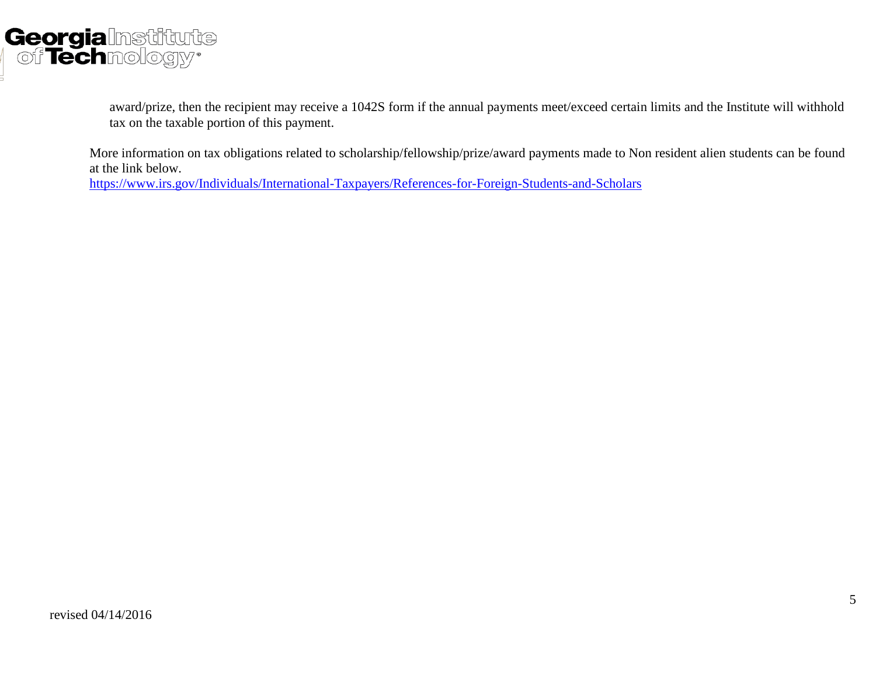

award/prize, then the recipient may receive a 1042S form if the annual payments meet/exceed certain limits and the Institute will withhold tax on the taxable portion of this payment.

More information on tax obligations related to scholarship/fellowship/prize/award payments made to Non resident alien students can be found at the link below. <https://www.irs.gov/Individuals/International-Taxpayers/References-for-Foreign-Students-and-Scholars>